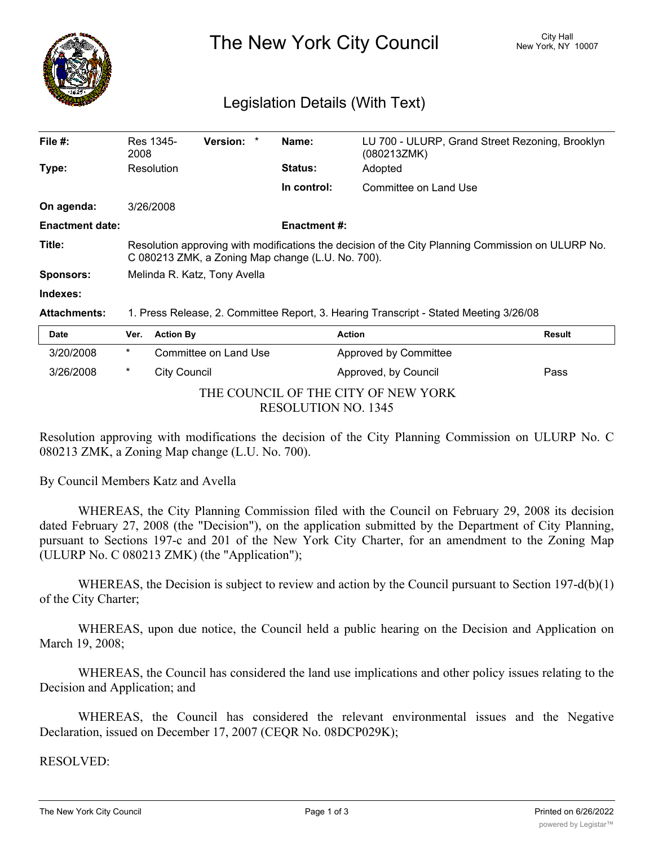

The New York City Council New York, NY 10007

## Legislation Details (With Text)

| File $#$ :             | Res 1345-<br>2008                                                                                                                                      | <b>Version:</b> |  | Name:               | LU 700 - ULURP, Grand Street Rezoning, Brooklyn<br>(080213ZMK) |  |  |
|------------------------|--------------------------------------------------------------------------------------------------------------------------------------------------------|-----------------|--|---------------------|----------------------------------------------------------------|--|--|
| Type:                  | Resolution                                                                                                                                             |                 |  | <b>Status:</b>      | Adopted                                                        |  |  |
|                        |                                                                                                                                                        |                 |  | In control:         | Committee on Land Use                                          |  |  |
| On agenda:             | 3/26/2008                                                                                                                                              |                 |  |                     |                                                                |  |  |
| <b>Enactment date:</b> |                                                                                                                                                        |                 |  | <b>Enactment #:</b> |                                                                |  |  |
| Title:                 | Resolution approving with modifications the decision of the City Planning Commission on ULURP No.<br>C 080213 ZMK, a Zoning Map change (L.U. No. 700). |                 |  |                     |                                                                |  |  |
| <b>Sponsors:</b>       | Melinda R. Katz, Tony Avella                                                                                                                           |                 |  |                     |                                                                |  |  |
| Indexes:               |                                                                                                                                                        |                 |  |                     |                                                                |  |  |
| <b>Attachments:</b>    | 1. Press Release, 2. Committee Report, 3. Hearing Transcript - Stated Meeting 3/26/08                                                                  |                 |  |                     |                                                                |  |  |
| . .                    |                                                                                                                                                        |                 |  |                     |                                                                |  |  |

| <b>Date</b>                         |              | Ver. Action By        | Action                       | <b>Result</b> |  |  |  |  |
|-------------------------------------|--------------|-----------------------|------------------------------|---------------|--|--|--|--|
| 3/20/2008                           | $\star$      | Committee on Land Use | <b>Approved by Committee</b> |               |  |  |  |  |
| 3/26/2008                           | City Council |                       | Approved, by Council         | Pass          |  |  |  |  |
| THE COUNCIL OF THE CITY OF NEW YORK |              |                       |                              |               |  |  |  |  |
| <b>RESOLUTION NO. 1345</b>          |              |                       |                              |               |  |  |  |  |

Resolution approving with modifications the decision of the City Planning Commission on ULURP No. C 080213 ZMK, a Zoning Map change (L.U. No. 700).

By Council Members Katz and Avella

WHEREAS, the City Planning Commission filed with the Council on February 29, 2008 its decision dated February 27, 2008 (the "Decision"), on the application submitted by the Department of City Planning, pursuant to Sections 197-c and 201 of the New York City Charter, for an amendment to the Zoning Map (ULURP No. C 080213 ZMK) (the "Application");

WHEREAS, the Decision is subject to review and action by the Council pursuant to Section 197-d(b)(1) of the City Charter;

WHEREAS, upon due notice, the Council held a public hearing on the Decision and Application on March 19, 2008;

WHEREAS, the Council has considered the land use implications and other policy issues relating to the Decision and Application; and

WHEREAS, the Council has considered the relevant environmental issues and the Negative Declaration, issued on December 17, 2007 (CEQR No. 08DCP029K);

RESOLVED: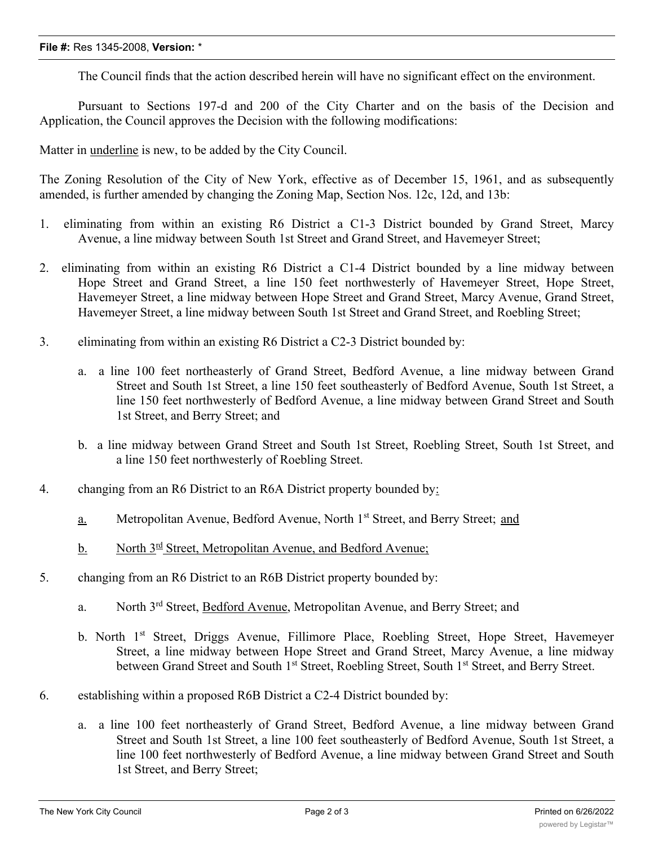## **File #:** Res 1345-2008, **Version:** \*

The Council finds that the action described herein will have no significant effect on the environment.

Pursuant to Sections 197-d and 200 of the City Charter and on the basis of the Decision and Application, the Council approves the Decision with the following modifications:

Matter in underline is new, to be added by the City Council.

The Zoning Resolution of the City of New York, effective as of December 15, 1961, and as subsequently amended, is further amended by changing the Zoning Map, Section Nos. 12c, 12d, and 13b:

- 1. eliminating from within an existing R6 District a C1-3 District bounded by Grand Street, Marcy Avenue, a line midway between South 1st Street and Grand Street, and Havemeyer Street;
- 2. eliminating from within an existing R6 District a C1-4 District bounded by a line midway between Hope Street and Grand Street, a line 150 feet northwesterly of Havemeyer Street, Hope Street, Havemeyer Street, a line midway between Hope Street and Grand Street, Marcy Avenue, Grand Street, Havemeyer Street, a line midway between South 1st Street and Grand Street, and Roebling Street;
- 3. eliminating from within an existing R6 District a C2-3 District bounded by:
	- a. a line 100 feet northeasterly of Grand Street, Bedford Avenue, a line midway between Grand Street and South 1st Street, a line 150 feet southeasterly of Bedford Avenue, South 1st Street, a line 150 feet northwesterly of Bedford Avenue, a line midway between Grand Street and South 1st Street, and Berry Street; and
	- b. a line midway between Grand Street and South 1st Street, Roebling Street, South 1st Street, and a line 150 feet northwesterly of Roebling Street.
- 4. changing from an R6 District to an R6A District property bounded by:
	- a. Metropolitan Avenue, Bedford Avenue, North 1st Street, and Berry Street; and
	- b. North  $3^{rd}$  Street, Metropolitan Avenue, and Bedford Avenue;
- 5. changing from an R6 District to an R6B District property bounded by:
	- a. North 3rd Street, Bedford Avenue, Metropolitan Avenue, and Berry Street; and
	- b. North 1<sup>st</sup> Street, Driggs Avenue, Fillimore Place, Roebling Street, Hope Street, Havemeyer Street, a line midway between Hope Street and Grand Street, Marcy Avenue, a line midway between Grand Street and South 1<sup>st</sup> Street, Roebling Street, South 1<sup>st</sup> Street, and Berry Street.
- 6. establishing within a proposed R6B District a C2-4 District bounded by:
	- a. a line 100 feet northeasterly of Grand Street, Bedford Avenue, a line midway between Grand Street and South 1st Street, a line 100 feet southeasterly of Bedford Avenue, South 1st Street, a line 100 feet northwesterly of Bedford Avenue, a line midway between Grand Street and South 1st Street, and Berry Street;

 $\mathcal{L}_{\mathcal{A}}$  and  $\mathcal{L}_{\mathcal{A}}$  street and  $\mathcal{L}_{\mathcal{A}}$  street,  $\mathcal{L}_{\mathcal{A}}$  street, and  $\mathcal{L}_{\mathcal{A}}$  street, and  $\mathcal{L}_{\mathcal{A}}$